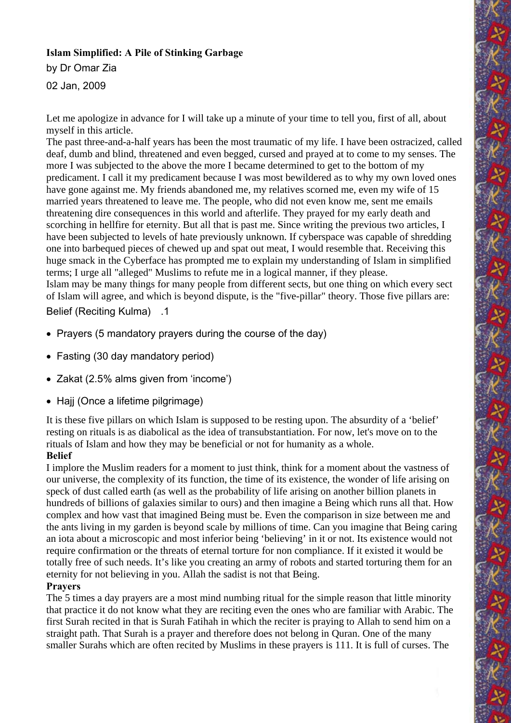## **Islam Simplified: A Pile of Stinking Garbage**

by Dr Omar Zia

02 Jan, 2009

Let me apologize in advance for I will take up a minute of your time to tell you, first of all, about myself in this article.

The past three-and-a-half years has been the most traumatic of my life. I have been ostracized, called deaf, dumb and blind, threatened and even begged, cursed and prayed at to come to my senses. The more I was subjected to the above the more I became determined to get to the bottom of my predicament. I call it my predicament because I was most bewildered as to why my own loved ones have gone against me. My friends abandoned me, my relatives scorned me, even my wife of 15 married years threatened to leave me. The people, who did not even know me, sent me emails threatening dire consequences in this world and afterlife. They prayed for my early death and scorching in hellfire for eternity. But all that is past me. Since writing the previous two articles, I have been subjected to levels of hate previously unknown. If cyberspace was capable of shredding one into barbequed pieces of chewed up and spat out meat, I would resemble that. Receiving this huge smack in the Cyberface has prompted me to explain my understanding of Islam in simplified terms; I urge all "alleged" Muslims to refute me in a logical manner, if they please. Islam may be many things for many people from different sects, but one thing on which every sect of Islam will agree, and which is beyond dispute, is the "five-pillar" theory. Those five pillars are:

Belief (Reciting Kulma) 1.

- Prayers (5 mandatory prayers during the course of the day)
- Fasting (30 day mandatory period)
- Zakat (2.5% alms given from 'income')
- Hajj (Once a lifetime pilgrimage)

It is these five pillars on which Islam is supposed to be resting upon. The absurdity of a 'belief' resting on rituals is as diabolical as the idea of transubstantiation. For now, let's move on to the rituals of Islam and how they may be beneficial or not for humanity as a whole.

# **Belief**

I implore the Muslim readers for a moment to just think, think for a moment about the vastness of our universe, the complexity of its function, the time of its existence, the wonder of life arising on speck of dust called earth (as well as the probability of life arising on another billion planets in hundreds of billions of galaxies similar to ours) and then imagine a Being which runs all that. How complex and how vast that imagined Being must be. Even the comparison in size between me and the ants living in my garden is beyond scale by millions of time. Can you imagine that Being caring an iota about a microscopic and most inferior being 'believing' in it or not. Its existence would not require confirmation or the threats of eternal torture for non compliance. If it existed it would be totally free of such needs. It's like you creating an army of robots and started torturing them for an eternity for not believing in you. Allah the sadist is not that Being.

### **Prayers**

The 5 times a day prayers are a most mind numbing ritual for the simple reason that little minority that practice it do not know what they are reciting even the ones who are familiar with Arabic. The first Surah recited in that is Surah Fatihah in which the reciter is praying to Allah to send him on a straight path. That Surah is a prayer and therefore does not belong in Quran. One of the many smaller Surahs which are often recited by Muslims in these prayers is 111. It is full of curses. The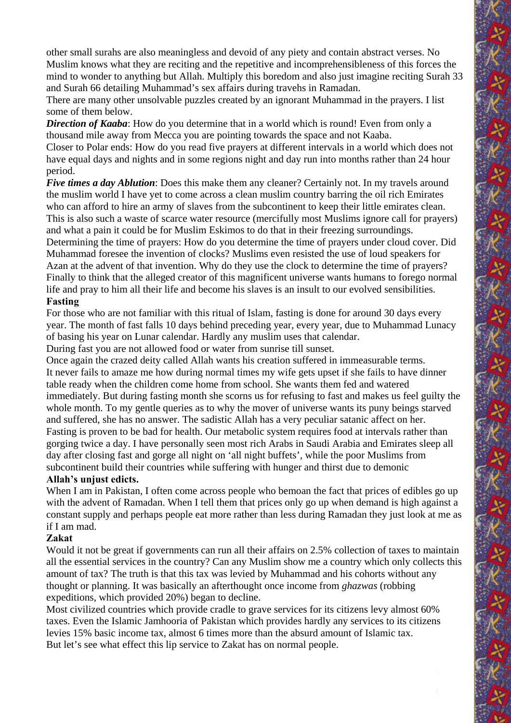other small surahs are also meaningless and devoid of any piety and contain abstract verses. No Muslim knows what they are reciting and the repetitive and incomprehensibleness of this forces the mind to wonder to anything but Allah. Multiply this boredom and also just imagine reciting Surah 33 and Surah 66 detailing Muhammad's sex affairs during travehs in Ramadan.

There are many other unsolvable puzzles created by an ignorant Muhammad in the prayers. I list some of them below.

*Direction of Kaaba*: How do you determine that in a world which is round! Even from only a thousand mile away from Mecca you are pointing towards the space and not Kaaba.

Closer to Polar ends: How do you read five prayers at different intervals in a world which does not have equal days and nights and in some regions night and day run into months rather than 24 hour period.

*Five times a day Ablution*: Does this make them any cleaner? Certainly not. In my travels around the muslim world I have yet to come across a clean muslim country barring the oil rich Emirates who can afford to hire an army of slaves from the subcontinent to keep their little emirates clean. This is also such a waste of scarce water resource (mercifully most Muslims ignore call for prayers) and what a pain it could be for Muslim Eskimos to do that in their freezing surroundings.

Determining the time of prayers: How do you determine the time of prayers under cloud cover. Did Muhammad foresee the invention of clocks? Muslims even resisted the use of loud speakers for Azan at the advent of that invention. Why do they use the clock to determine the time of prayers? Finally to think that the alleged creator of this magnificent universe wants humans to forego normal life and pray to him all their life and become his slaves is an insult to our evolved sensibilities. **Fasting**

For those who are not familiar with this ritual of Islam, fasting is done for around 30 days every year. The month of fast falls 10 days behind preceding year, every year, due to Muhammad Lunacy of basing his year on Lunar calendar. Hardly any muslim uses that calendar.

During fast you are not allowed food or water from sunrise till sunset.

Once again the crazed deity called Allah wants his creation suffered in immeasurable terms. It never fails to amaze me how during normal times my wife gets upset if she fails to have dinner table ready when the children come home from school. She wants them fed and watered immediately. But during fasting month she scorns us for refusing to fast and makes us feel guilty the whole month. To my gentle queries as to why the mover of universe wants its puny beings starved and suffered, she has no answer. The sadistic Allah has a very peculiar satanic affect on her. Fasting is proven to be bad for health. Our metabolic system requires food at intervals rather than gorging twice a day. I have personally seen most rich Arabs in Saudi Arabia and Emirates sleep all day after closing fast and gorge all night on 'all night buffets', while the poor Muslims from subcontinent build their countries while suffering with hunger and thirst due to demonic

### **Allah's unjust edicts.**

When I am in Pakistan, I often come across people who bemoan the fact that prices of edibles go up with the advent of Ramadan. When I tell them that prices only go up when demand is high against a constant supply and perhaps people eat more rather than less during Ramadan they just look at me as if I am mad.

### **Zakat**

Would it not be great if governments can run all their affairs on 2.5% collection of taxes to maintain all the essential services in the country? Can any Muslim show me a country which only collects this amount of tax? The truth is that this tax was levied by Muhammad and his cohorts without any thought or planning. It was basically an afterthought once income from *ghazwas* (robbing expeditions, which provided 20%) began to decline.

Most civilized countries which provide cradle to grave services for its citizens levy almost 60% taxes. Even the Islamic Jamhooria of Pakistan which provides hardly any services to its citizens levies 15% basic income tax, almost 6 times more than the absurd amount of Islamic tax. But let's see what effect this lip service to Zakat has on normal people.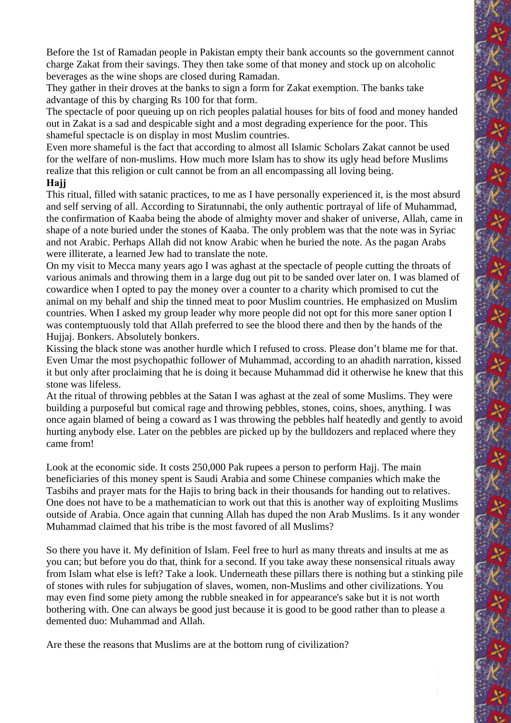Before the 1st of Ramadan people in Pakistan empty their bank accounts so the government cannot charge Zakat from their savings. They then take some of that money and stock up on alcoholic beverages as the wine shops are closed during Ramadan.

They gather in their droves at the banks to sign a form for Zakat exemption. The banks take advantage of this by charging Rs 100 for that form.

The spectacle of poor queuing up on rich peoples palatial houses for bits of food and money handed out in Zakat is a sad and despicable sight and a most degrading experience for the poor. This shameful spectacle is on display in most Muslim countries.

Even more shameful is the fact that according to almost all Islamic Scholars Zakat cannot be used for the welfare of non-muslims. How much more Islam has to show its ugly head before Muslims realize that this religion or cult cannot be from an all encompassing all loving being.

## **Hajj**

This ritual, filled with satanic practices, to me as I have personally experienced it, is the most absurd and self serving of all. According to Siratunnabi, the only authentic portrayal of life of Muhammad, the confirmation of Kaaba being the abode of almighty mover and shaker of universe, Allah, came in shape of a note buried under the stones of Kaaba. The only problem was that the note was in Syriac and not Arabic. Perhaps Allah did not know Arabic when he buried the note. As the pagan Arabs were illiterate, a learned Jew had to translate the note.

On my visit to Mecca many years ago I was aghast at the spectacle of people cutting the throats of various animals and throwing them in a large dug out pit to be sanded over later on. I was blamed of cowardice when I opted to pay the money over a counter to a charity which promised to cut the animal on my behalf and ship the tinned meat to poor Muslim countries. He emphasized on Muslim countries. When I asked my group leader why more people did not opt for this more saner option I was contemptuously told that Allah preferred to see the blood there and then by the hands of the Hujjaj. Bonkers. Absolutely bonkers.

Kissing the black stone was another hurdle which I refused to cross. Please don't blame me for that. Even Umar the most psychopathic follower of Muhammad, according to an ahadith narration, kissed it but only after proclaiming that he is doing it because Muhammad did it otherwise he knew that this stone was lifeless.

At the ritual of throwing pebbles at the Satan I was aghast at the zeal of some Muslims. They were building a purposeful but comical rage and throwing pebbles, stones, coins, shoes, anything. I was once again blamed of being a coward as I was throwing the pebbles half heatedly and gently to avoid hurting anybody else. Later on the pebbles are picked up by the bulldozers and replaced where they came from!

Look at the economic side. It costs 250,000 Pak rupees a person to perform Hajj. The main beneficiaries of this money spent is Saudi Arabia and some Chinese companies which make the Tasbihs and prayer mats for the Hajis to bring back in their thousands for handing out to relatives. One does not have to be a mathematician to work out that this is another way of exploiting Muslims outside of Arabia. Once again that cunning Allah has duped the non Arab Muslims. Is it any wonder Muhammad claimed that his tribe is the most favored of all Muslims?

So there you have it. My definition of Islam. Feel free to hurl as many threats and insults at me as you can; but before you do that, think for a second. If you take away these nonsensical rituals away from Islam what else is left? Take a look. Underneath these pillars there is nothing but a stinking pile of stones with rules for subjugation of slaves, women, non-Muslims and other civilizations. You may even find some piety among the rubble sneaked in for appearance's sake but it is not worth bothering with. One can always be good just because it is good to be good rather than to please a demented duo: Muhammad and Allah.

Are these the reasons that Muslims are at the bottom rung of civilization?